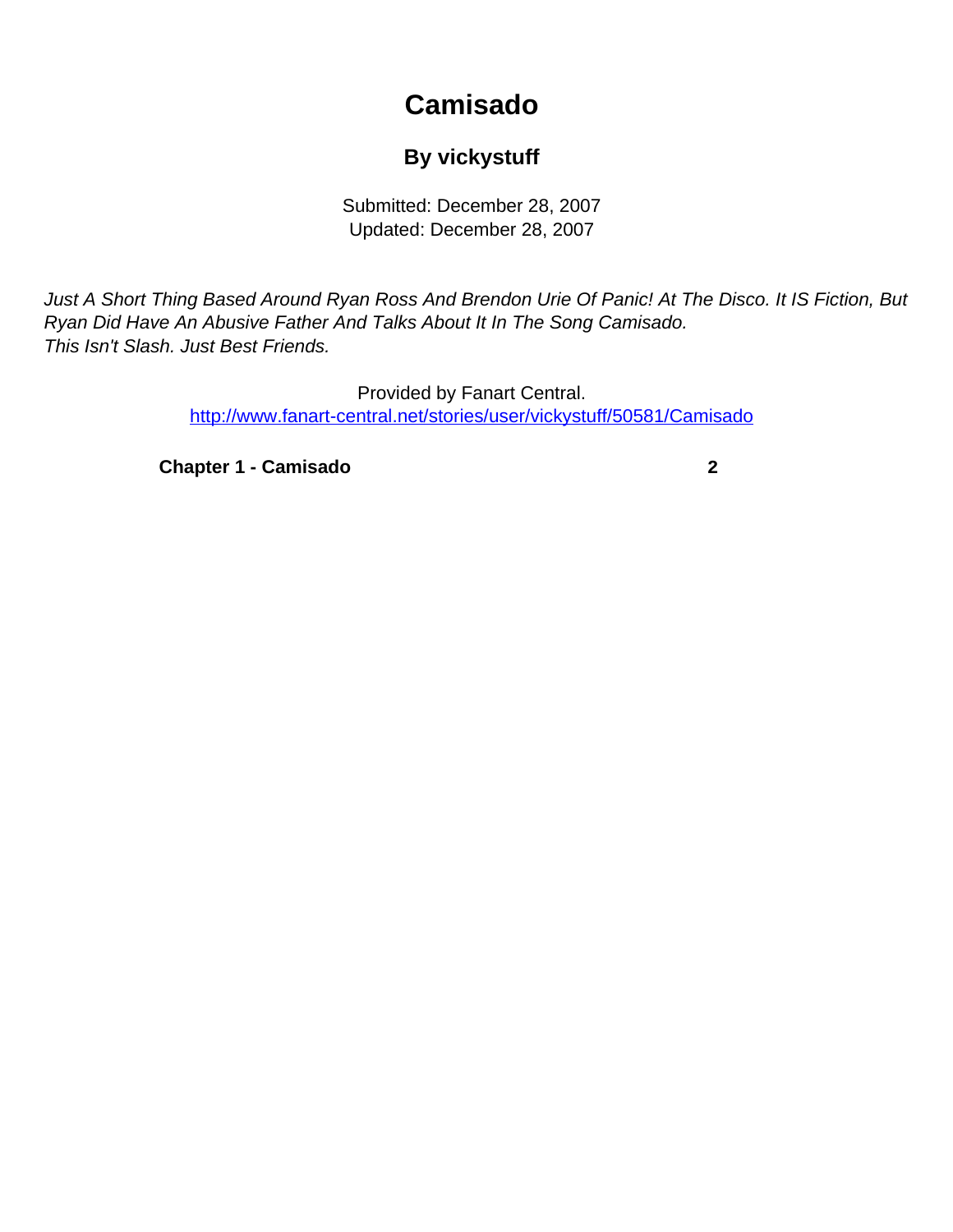## **Camisado**

## **By vickystuff**

Submitted: December 28, 2007 Updated: December 28, 2007

<span id="page-0-0"></span>Just A Short Thing Based Around Ryan Ross And Brendon Urie Of Panic! At The Disco. It IS Fiction, But Ryan Did Have An Abusive Father And Talks About It In The Song Camisado. This Isn't Slash. Just Best Friends.

> Provided by Fanart Central. [http://www.fanart-central.net/stories/user/vickystuff/50581/Camisado](#page-0-0)

**[Chapter 1 - Camisado](#page-1-0) [2](#page-1-0)**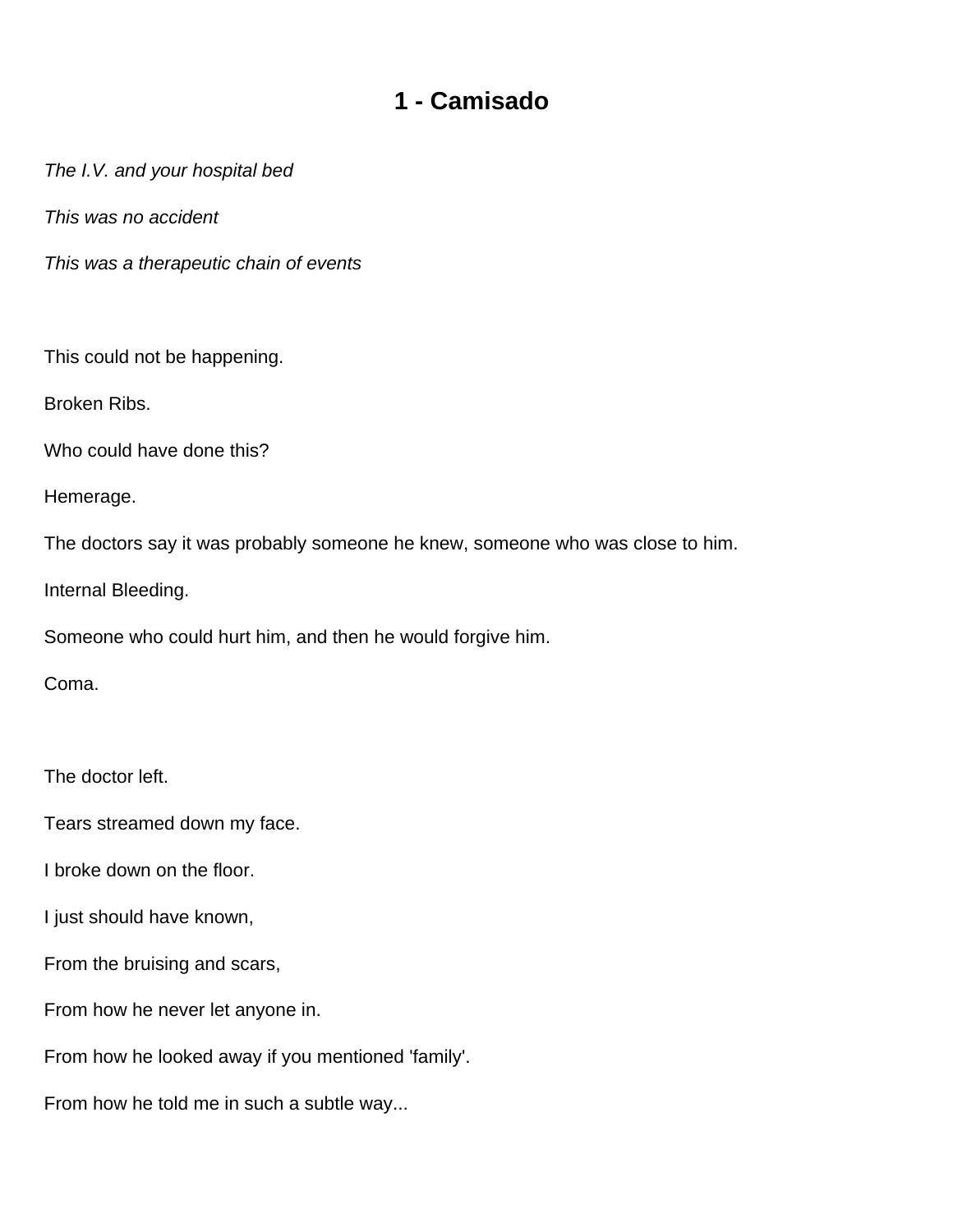## **1 - Camisado**

<span id="page-1-0"></span>The I.V. and your hospital bed

This was no accident

This was a therapeutic chain of events

This could not be happening.

Broken Ribs.

Who could have done this?

Hemerage.

The doctors say it was probably someone he knew, someone who was close to him.

Internal Bleeding.

Someone who could hurt him, and then he would forgive him.

Coma.

The doctor left.

Tears streamed down my face.

I broke down on the floor.

I just should have known,

From the bruising and scars,

From how he never let anyone in.

From how he looked away if you mentioned 'family'.

From how he told me in such a subtle way...